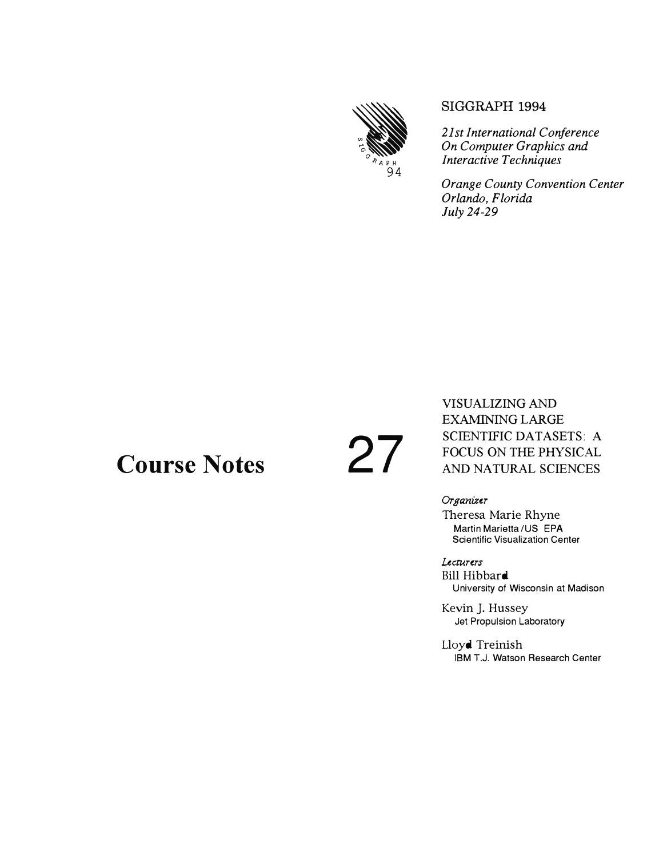

#### SIGGRAPH 1994

21st International Conference On Computer Graphics and **Interactive Techniques** 

**Orange County Convention Center** Orlando, Florida July 24-29

### **Course Notes**

# 27

VISUALIZING AND **EXAMINING LARGE SCIENTIFIC DATASETS: A** FOCUS ON THE PHYSICAL AND NATURAL SCIENCES

Organizer Theresa Marie Rhyne Martin Marietta / US EPA **Scientific Visualization Center** 

Lecturers Bill Hibbard University of Wisconsin at Madison

Kevin J. Hussey Jet Propulsion Laboratory

Lloyd Treinish IBM T.J. Watson Research Center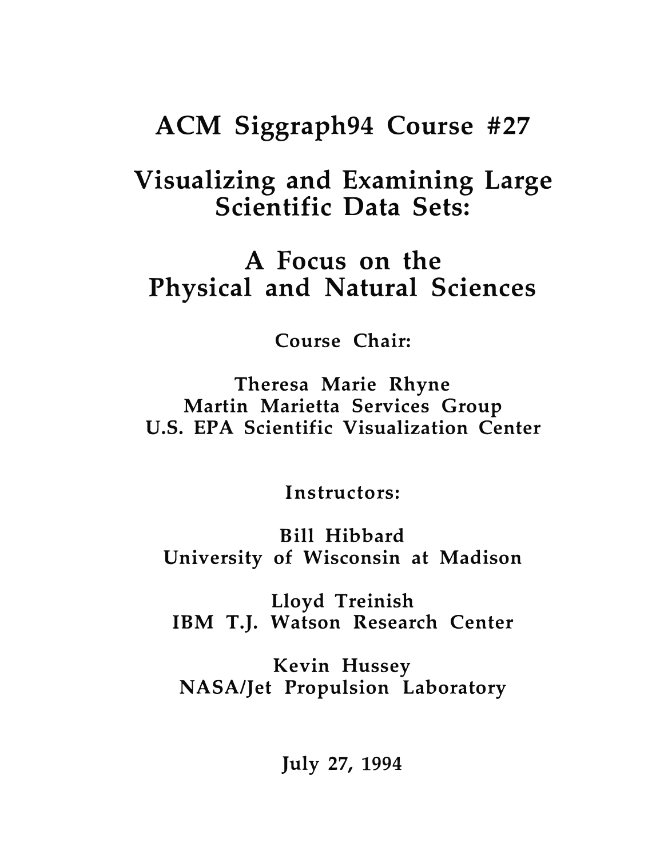# **ACM Siggraph94 Course** #27

## **Visualizing and Examining Large Scientific Data Sets:**

### **A Focus on the Physical and Natural Sciences**

**Course Chair:** 

**Theresa Marie Rhyne Martin Marietta Services Group U.S. EPA Scientific Visualization Center** 

**Instructors:** 

**Bill Hibbard University of Wisconsin at Madison** 

**Lloyd Treinish IBM T.J. Watson Research Center** 

**Kevin Hussey NASA/Jet Propulsion Laboratory** 

**July 27, 1994**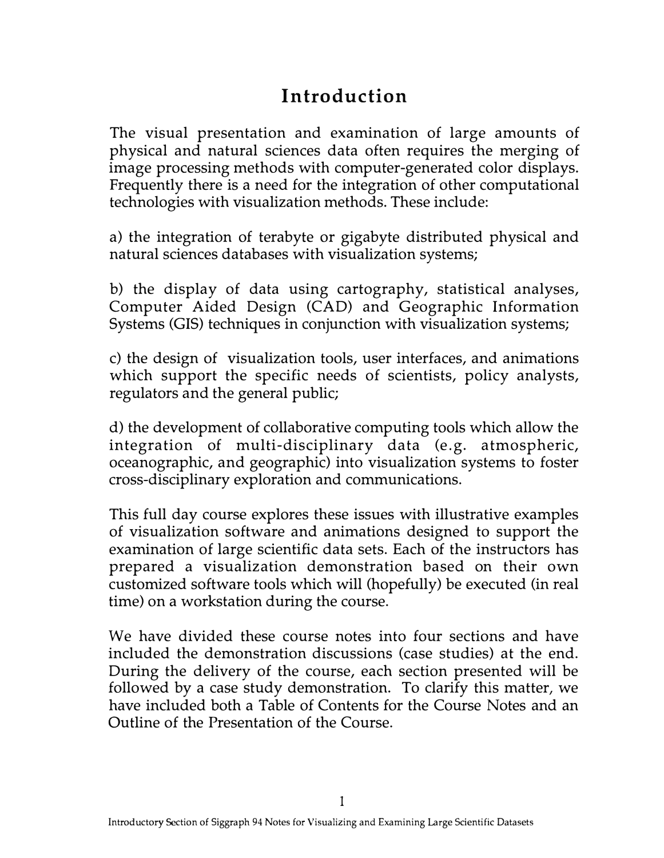#### **Introduction**

The visual presentation and examination of large amounts of physical and natural sciences data often requires the merging of image processing methods with computer-generated color displays. Frequently there is a need for the integration of other computational technologies with visualization methods. These include:

a) the integration of terabyte or gigabyte distributed physical and natural sciences databases with visualization systems;

b) the display of data using cartography, statistical analyses, Computer Aided Design (CAD) and Geographic Information Systems (GIS) techniques in conjunction with visualization systems;

c) the design of visualization tools, user interfaces, and animations which support the specific needs of scientists, policy analysts, regulators and the general public;

d) the development of collaborative computing tools which allow the integration of multi-disciplinary data (e.g. atmospheric, oceanographic, and geographic) into visualization systems to foster cross-disciplinary exploration and communications.

This full day course explores these issues with illustrative examples of visualization software and animations designed to support the examination of large scientific data sets. Each of the instructors has prepared a visualization demonstration based on their own customized software tools which will (hopefully) be executed (in real time) on a workstation during the course.

We have divided these course notes into four sections and have included the demonstration discussions (case studies) at the end. During the delivery of the course, each section presented will be followed by a case study demonstration. To clarify this matter, we have included both a Table of Contents for the Course Notes and an Outline of the Presentation of the Course.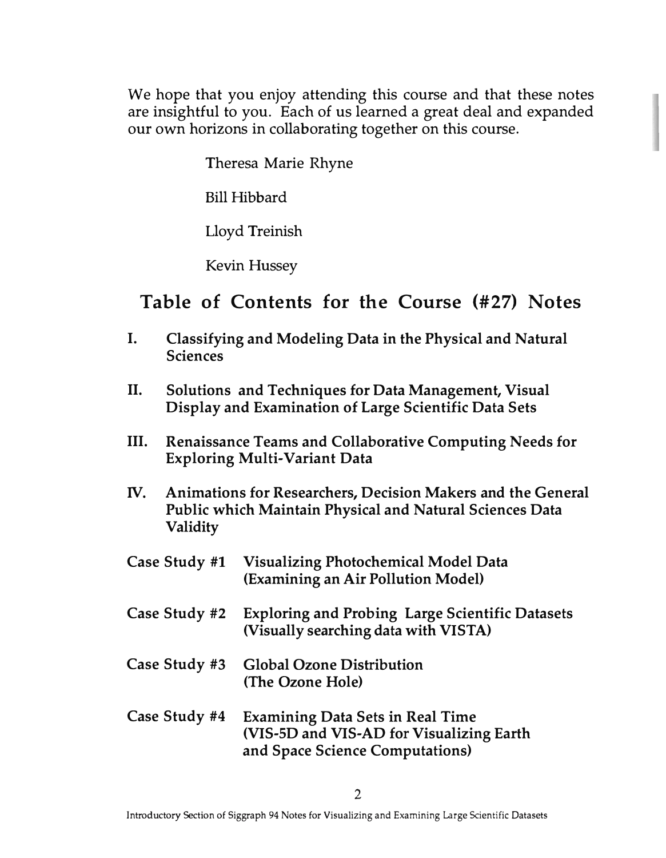We hope that you enjoy attending this course and that these notes are insightful to you. Each of us learned a great deal and expanded our own horizons in collaborating together on this course.

Theresa Marie Rhyne

Bill Hibbard

Lloyd Treinish

Kevin Hussey

#### **Table of Contents for the Course (#27) Notes**

- I. Classifying and Modeling Data in the Physical and Natural Sciences
- II. Solutions and Techniques for Data Management, Visual Display and Examination of Large Scientific Data Sets
- III. Renaissance Teams and Collaborative Computing Needs for Exploring Multi-Variant Data
- IV. Animations for Researchers, Decision Makers and the General Public which Maintain Physical and Natural Sciences Data Validity
- Case Study #1 Visualizing Photochemical Model Data (Examining an Air Pollution Model)
- Case Study #2 Exploring and Probing Large Scientific Datasets (Visually searching data with VISTA)
- Case Study #3 Global Ozone Distribution (The Ozone Hole)
- Case Study #4 Examining Data Sets in Real Time (VIS-SD and VIS-AD for Visualizing Earth and Space Science Computations)